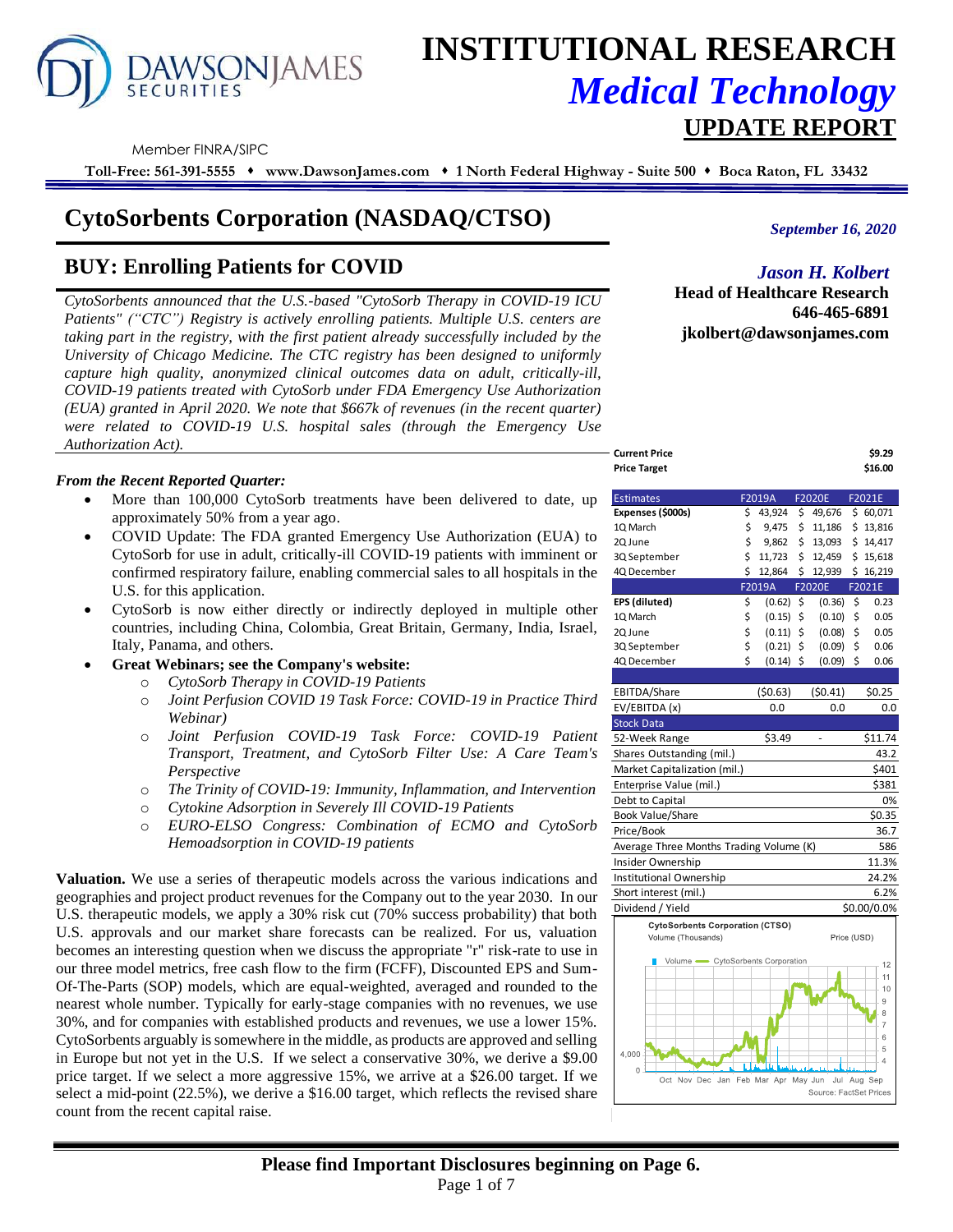# **AWSONJAMES SECURITIES**

# **INSTITUTIONAL RESEARCH** *Medical Technology*  **UPDATE REPORT**

Member FINRA/SIPC

**Toll-Free: 561-391-5555** ⬧ **www.DawsonJames.com** ⬧ **1 North Federal Highway - Suite 500** ⬧ **Boca Raton, FL 33432**

# **CytoSorbents Corporation (NASDAQ/CTSO)**

# **BUY: Enrolling Patients for COVID**

*CytoSorbents announced that the U.S.-based "CytoSorb Therapy in COVID-19 ICU Patients" ("CTC") Registry is actively enrolling patients. Multiple U.S. centers are taking part in the registry, with the first patient already successfully included by the University of Chicago Medicine. The CTC registry has been designed to uniformly capture high quality, anonymized clinical outcomes data on adult, critically-ill, COVID-19 patients treated with CytoSorb under FDA Emergency Use Authorization (EUA) granted in April 2020. We note that \$667k of revenues (in the recent quarter) were related to COVID-19 U.S. hospital sales (through the Emergency Use Authorization Act).*

# *From the Recent Reported Quarter:*

- More than 100,000 CytoSorb treatments have been delivered to date, up approximately 50% from a year ago.
- COVID Update: The FDA granted Emergency Use Authorization (EUA) to CytoSorb for use in adult, critically-ill COVID-19 patients with imminent or confirmed respiratory failure, enabling commercial sales to all hospitals in the U.S. for this application.
- CytoSorb is now either directly or indirectly deployed in multiple other countries, including China, Colombia, Great Britain, Germany, India, Israel, Italy, Panama, and others.
- **Great Webinars; see the Company's website:** 
	- o *CytoSorb Therapy in COVID-19 Patients*
	- o *Joint Perfusion COVID 19 Task Force: COVID-19 in Practice Third Webinar)*
	- o *Joint Perfusion COVID-19 Task Force: COVID-19 Patient Transport, Treatment, and CytoSorb Filter Use: A Care Team's Perspective*
	- o *The Trinity of COVID-19: Immunity, Inflammation, and Intervention*
	- o *Cytokine Adsorption in Severely Ill COVID-19 Patients*
	- o *EURO-ELSO Congress: Combination of ECMO and CytoSorb Hemoadsorption in COVID-19 patients*

**Valuation.** We use a series of therapeutic models across the various indications and geographies and project product revenues for the Company out to the year 2030. In our U.S. therapeutic models, we apply a 30% risk cut (70% success probability) that both U.S. approvals and our market share forecasts can be realized. For us, valuation becomes an interesting question when we discuss the appropriate "r" risk-rate to use in our three model metrics, free cash flow to the firm (FCFF), Discounted EPS and Sum-Of-The-Parts (SOP) models, which are equal-weighted, averaged and rounded to the nearest whole number. Typically for early-stage companies with no revenues, we use 30%, and for companies with established products and revenues, we use a lower 15%. CytoSorbents arguably is somewhere in the middle, as products are approved and selling in Europe but not yet in the U.S. If we select a conservative 30%, we derive a \$9.00 price target. If we select a more aggressive 15%, we arrive at a \$26.00 target. If we select a mid-point (22.5%), we derive a \$16.00 target, which reflects the revised share count from the recent capital raise.

*September 16, 2020*

*Jason H. Kolbert*

**Head of Healthcare Research 646-465-6891 jkolbert@dawsonjames.com**

| <b>Current Price</b> | \$9.29  |
|----------------------|---------|
| <b>Price Target</b>  | \$16.00 |
|                      |         |

| <b>Estimates</b>                        |    | F2019A  | F2020E        | F2021E              |
|-----------------------------------------|----|---------|---------------|---------------------|
| Expenses (\$000s)                       | \$ | 43,924  | \$<br>49,676  | \$60,071            |
| 1Q March                                | \$ | 9,475   | \$<br>11,186  | \$13,816            |
| 2Q June                                 | \$ | 9,862   | \$<br>13,093  | \$14,417            |
| 3Q September                            | \$ | 11,723  | \$<br>12,459  | \$15,618            |
| 4Q December                             | Ś  | 12,864  | \$<br>12,939  | \$16,219            |
|                                         |    | F2019A  | <b>F2020E</b> | F2021E              |
| EPS (diluted)                           | \$ | (0.62)  | \$<br>(0.36)  | \$<br>0.23          |
| 1Q March                                | \$ | (0.15)  | \$<br>(0.10)  | \$<br>0.05          |
| 2Q June                                 | \$ | (0.11)  | \$<br>(0.08)  | \$<br>0.05          |
| 3Q September                            | \$ | (0.21)  | \$<br>(0.09)  | \$<br>0.06          |
| 4Q December                             | Ś  | (0.14)  | \$<br>(0.09)  | \$<br>0.06          |
|                                         |    |         |               |                     |
| EBITDA/Share                            |    | (50.63) | (50.41)       | \$0.25              |
| EV/EBITDA (x)                           |    | 0.0     | 0.0           | 0.0                 |
| <b>Stock Data</b>                       |    |         |               |                     |
| 52-Week Range                           |    | \$3.49  |               | \$11.74             |
| Shares Outstanding (mil.)               |    |         |               | 43.2                |
| Market Capitalization (mil.)            |    |         |               | \$401               |
| Enterprise Value (mil.)                 |    |         |               | \$381               |
| Debt to Capital                         |    |         |               | 0%                  |
| <b>Book Value/Share</b>                 |    |         |               | \$0.35              |
| Price/Book                              |    |         |               | 36.7                |
| Average Three Months Trading Volume (K) |    |         |               | 586                 |
| Insider Ownership                       |    |         |               | 11.3%               |
| Institutional Ownership                 |    |         |               | 24.2%               |
| Short interest (mil.)                   |    |         |               | 6.2%                |
| Dividend / Yield                        |    |         |               | \$0.00/0.0%         |
| <b>CytoSorbents Corporation (CTSO)</b>  |    |         |               |                     |
| Volume (Thousands)                      |    |         | Price (USD)   |                     |
| Volume CytoSorbents Corporation         |    |         |               |                     |
|                                         |    |         |               | 12<br>11            |
|                                         |    |         |               | 10                  |
|                                         |    |         |               | 9                   |
|                                         |    |         |               | 8                   |
|                                         |    |         |               | $\overline{7}$<br>6 |
|                                         |    |         |               | 5                   |
| 4,000                                   |    |         |               | $\overline{4}$      |

Oct Nov Dec Jan Feb Mar Apr May Jun Jul Aug Sep

Source: FactSet Pr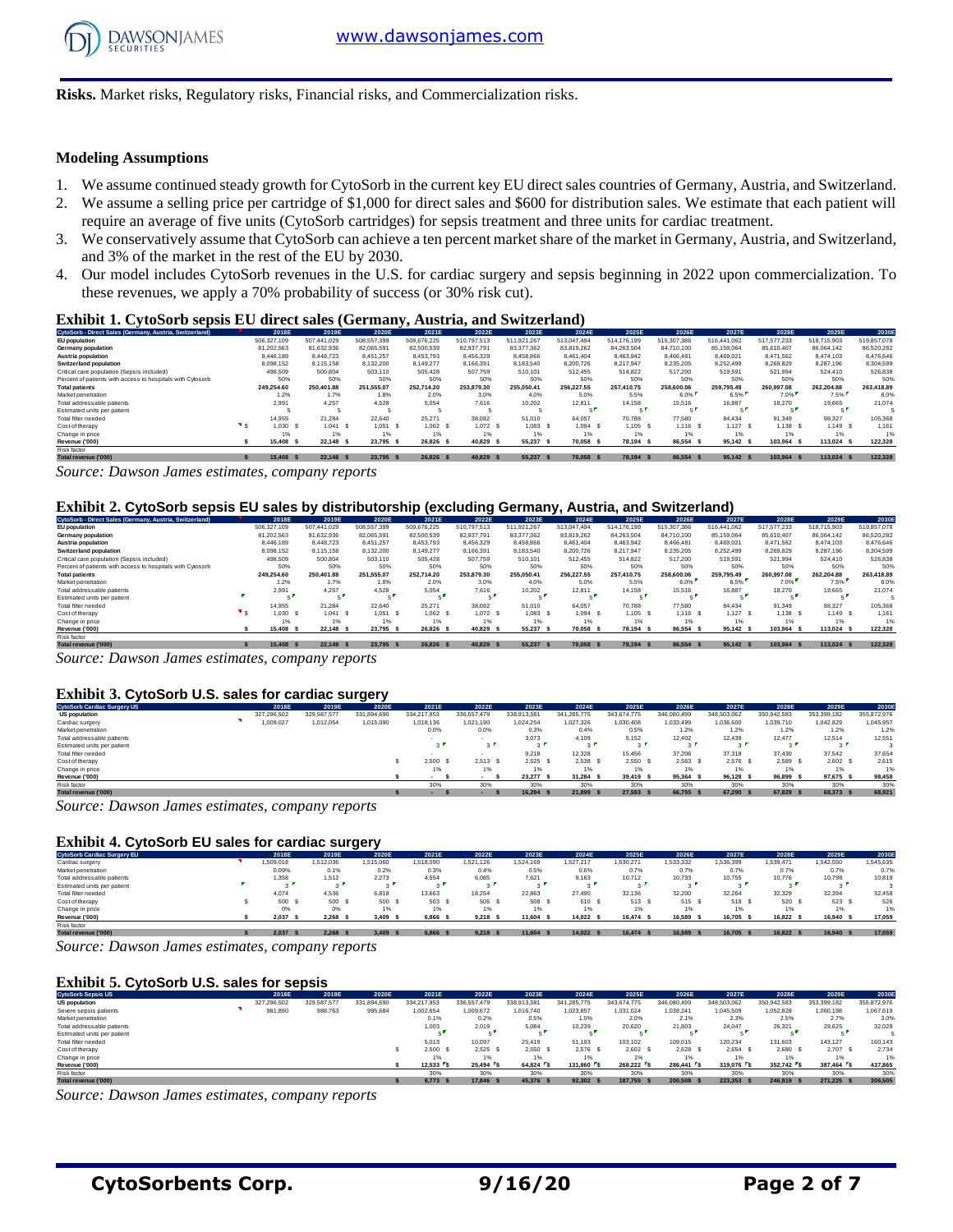

**Risks.** Market risks, Regulatory risks, Financial risks, and Commercialization risks.

#### **Modeling Assumptions**

- 1. We assume continued steady growth for CytoSorb in the current key EU direct sales countries of Germany, Austria, and Switzerland.
- 2. We assume a selling price per cartridge of \$1,000 for direct sales and \$600 for distribution sales. We estimate that each patient will require an average of five units (CytoSorb cartridges) for sepsis treatment and three units for cardiac treatment.
- 3. We conservatively assume that CytoSorb can achieve a ten percent market share of the market in Germany, Austria, and Switzerland, and 3% of the market in the rest of the EU by 2030.
- 4. Our model includes CytoSorb revenues in the U.S. for cardiac surgery and sepsis beginning in 2022 upon commercialization. To these revenues, we apply a 70% probability of success (or 30% risk cut).

#### **Exhibit 1. CytoSorb sepsis EU direct sales (Germany, Austria, and Switzerland)**

| CytoSorb - Direct Sales (Germany, Austria, Switzerland)    | 2018E         | 2019E       | 2020E       | 2021E       | 2022E       | 2023E       | 2024E       | 2025E       | 2026E       | 2027E       | 2028E       | 2029E       | 2030E       |
|------------------------------------------------------------|---------------|-------------|-------------|-------------|-------------|-------------|-------------|-------------|-------------|-------------|-------------|-------------|-------------|
| EU population                                              | 506,327,109   | 507.441.029 | 508,557,399 | 509.676.225 | 510.797.513 | 511.921.267 | 513.047.494 | 514.176.199 | 515,307,386 | 516.441.062 | 517.577.233 | 518,715,903 | 519,857,078 |
| Germany population                                         | 81.202.563    | 81.632.936  | 82.065.591  | 82.500.539  | 82.937.791  | 83.377.362  | 83.819.262  | 84.263.504  | 84.710.100  | 85.159.064  | 85.610.407  | 86.064.142  | 86.520.282  |
| Austria population                                         | 8.446.189     | 8.448.723   | 8.451.257   | 8.453.793   | 8.456.329   | 8.458.866   | 8.461.404   | 8.463.942   | 8.466.481   | 8.469.021   | 8.471.562   | 8.474.103   | 8.476.646   |
| <b>Switzerland population</b>                              | 8.098.152     | 8.115.158   | 8,132,200   | 8.149.277   | 8,166,391   | 8,183,540   | 8,200,726   | 8.217.947   | 8.235.205   | 8.252.499   | 8,269,829   | 8.287.196   | 8,304,599   |
| Critical care population (Sepsis included)                 | 498,509       | 500.804     | 503.110     | 505.428     | 507.759     | 510.101     | 512.455     | 514.822     | 517,200     | 519.591     | 521.994     | 524.410     | 526.838     |
| Percent of patients with access to hospitals with Cytosorb | 50%           | 50%         | 50%         | 50%         | 50%         | 50%         | 50%         | 50%         | 50%         | 50%         | 50%         | 50%         | 50%         |
| <b>Total patients</b>                                      | 249.254.60    | 250.401.88  | 251.555.07  | 252.714.20  | 253.879.30  | 255.050.41  | 256.227.55  | 257.410.75  | 258,600,06  | 259.795.49  | 260.997.08  | 262.204.88  | 263,418.89  |
| Market penetration                                         | 1.2%          | 1.7%        | 1.8%        | 2.0%        | 3.0%        | 4.0%        | 5.0%        | 5.5%        | 6.0%        | 6.5%        | 7.0%        | 7.5%        | 8.0%        |
| Total addressable patients                                 | 2.991         | 4.257       | 4.528       | 5.054       | 7.616       | 10.202      | 12.811      | 14.158      | 15.516      | 16.887      | 18.270      | 19.665      | 21.074      |
| Estimated units per patient                                |               |             |             |             |             |             |             |             |             |             |             |             |             |
| Total filter needed                                        | 14.955        | 21.284      | 22.640      | 25.271      | 38.082      | 51,010      | 64.057      | 70.788      | 77,580      | 84.434      | 91.349      | 98.327      | 105,368     |
| Cost of therapy                                            | 1.030         | 1.041 S     | $1,051$ \$  | 1.062 S     | $1,072$ \$  | $1.083$ \$  | 1.094 S     | 1.105 S     | 1.116 S     | $1,127$ \$  | 1.138 S     | 1.149 S     | 1.161       |
| Change in price                                            | 1%            | 1%          | 1%          | 1%          | 1%          | 1%          |             | 1%          | 1%          | 1%          | 1%          |             | 1%          |
| Revenue ('000)                                             | 15,408<br>- 5 | 22.148 \$   | 23.795 \$   | 26,826      | 40.829      | 55.237      | 70.058      | 78.194 S    | 86,554      | 95.142 \$   | 103.964 S   | 113,024 \$  | 122,328     |
| Risk factor                                                |               |             |             |             |             |             |             |             |             |             |             |             |             |
| Total revenue ('000)                                       | 15,408 S      | 22.148 \$   | 23.795 \$   | 26.826 S    | 40.829      | 55.237 \$   | 70.058 \$   | 78.194 S    | 86.554 \$   | 95.142 \$   | 103,964 S   | 113.024 \$  | 122.328     |

*Source: Dawson James estimates, company reports*

#### **Exhibit 2. CytoSorb sepsis EU sales by distributorship (excluding Germany, Austria, and Switzerland)**

| CytoSorb - Direct Sales (Germany, Austria, Switzerland)    | 2018E       | 2019E       | 2020E         | 2021E       | 2022E       | 2023E       | 2024E       | 2025E       | 2026E       | 2027E       | 2028E       | 2029E       | 2030E       |
|------------------------------------------------------------|-------------|-------------|---------------|-------------|-------------|-------------|-------------|-------------|-------------|-------------|-------------|-------------|-------------|
| EU population                                              | 506,327,109 | 507.441.029 | 508,557,399   | 509.676.225 | 510.797.513 | 511.921.267 | 513.047.494 | 514.176.199 | 515.307.386 | 516.441.062 | 517.577.233 | 518,715,903 | 519,857,078 |
| Germany population                                         | 81,202,563  | 81,632,936  | 82,065,591    | 82,500,539  | 82.937.791  | 83,377,362  | 83,819,262  | 84,263,504  | 84,710,100  | 85,159,064  | 85,610,407  | 86,064,142  | 86,520,282  |
| Austria population                                         | 8,446.189   | 8.448.723   | 8.451.257     | 8.453.793   | 8.456.329   | 8.458.866   | 8.461.404   | 8.463.942   | 8.466.481   | 8.469.021   | 8.471.562   | 8.474.103   | 8.476.646   |
| <b>Switzerland population</b>                              | 8.098.152   | 8,115,158   | 8.132.200     | 8.149.277   | 8.166.391   | 8.183.540   | 8.200.726   | 8.217.947   | 8.235.205   | 8.252.499   | 8,269,829   | 8.287.196   | 8.304.599   |
| Critical care population (Sepsis included)                 | 498.509     | 500.804     | 503.110       | 505.428     | 507.759     | 510.101     | 512.455     | 514.822     | 517,200     | 519.591     | 521.994     | 524.410     | 526.838     |
| Percent of patients with access to hospitals with Cytosorb | 50%         | 50%         | 50%           | 50%         | 50%         | 50%         | 50%         | 50%         | 50%         | 50%         | 50%         | 50%         | 50%         |
| <b>Total patients</b>                                      | 249.254.60  | 250.401.88  | 251.555.07    | 252.714.20  | 253,879.30  | 255.050.41  | 256,227.55  | 257.410.75  | 258,600,06  | 259,795,49  | 260.997.08  | 262.204.88  | 263,418.89  |
| Market penetration                                         | 1.2%        | 1.7%        | 1.8%          | 2.0%        | 3.0%        | 4.0%        | 5.0%        | 5.5%        | 6.0%        | 6.5%        | 7.0%        | 7.5%        | 8.0%        |
| Total addressable patients                                 | 2.991       | 4.257       | 4.528         | 5.054       | 7.616       | 10.202      | 12.811      | 14.158      | 15.516      | 16,887      | 18.270      | 19.665      | 21.074      |
| Estimated units per patient                                |             |             |               |             | -           | -           |             |             |             |             |             |             |             |
| Total filter needed                                        | 14.955      | 21.284      | 22.640        | 25.271      | 38.082      | 51.010      | 64.057      | 70.788      | 77,580      | 84.434      | 91.349      | 98.327      | 105,368     |
| Cost of therapy                                            | 1.030       | 1.041 S     | 1.051 S       | 1.062 S     | 1.072 S     | $1,083$ \$  | 1.094       | 1.105 S     | $1.116$ \$  | 1.127 S     | 1.138 S     | 1.149 S     | 1.161       |
| Change in price                                            | 1%          | 1%          | 1%            | 1%          | 1%          | 1%          | 1%          |             | 1%          | 1%          | 1%          | 1%          | 1%          |
| Revenue ('000)                                             | 15,408      | 22.148 S    | 23.795<br>. s | 26.826 S    | 40.829      | 55,237      | 70.058      | 78.194 S    | 86,554      | 95.142 \$   | 103.964 S   | 113.024 \$  | 122,328     |
| Risk factor                                                |             |             |               |             |             |             |             |             |             |             |             |             |             |
| Total revenue ('000)                                       | 15,408 \$   | 22.148 \$   | 23.795 \$     | 26.826 S    | 40,829      | 55.237      | 70.058 \$   | 78.194 S    | 86.554 \$   | 95.142 \$   | 103.964 S   | 113.024 \$  | 122.328     |

*Source: Dawson James estimates, company reports*

#### **Exhibit 3. CytoSorb U.S. sales for cardiac surgery**

| Exhibit 3. CytoSorb U.S. sales for cardiac surgery |  |             |             |             |             |              |             |             |             |             |                       |             |             |             |
|----------------------------------------------------|--|-------------|-------------|-------------|-------------|--------------|-------------|-------------|-------------|-------------|-----------------------|-------------|-------------|-------------|
| <b>CytoSorb Cardiac Surgery US</b>                 |  | 2018E       | 2019E       | 2020E       | 2021E       | 2022E        | 2023E       | 2024E       | 2025E       | 2026E       | 2027E                 | 2028E       | 2029E       | 2030E       |
| <b>US population</b>                               |  | 327.296.502 | 329,587,577 | 331.894.690 | 334.217.953 | 336.557.479  | 338,913,381 | 341,285,775 | 343.674.775 | 346,080,499 | 348,503,062           | 350,942,583 | 353,399,182 | 355.872.976 |
| Cardiac surgery                                    |  | .009.027    | 1.012.054   | 1.015.090   | 1.018.136   | 1.021.190    | 1.024.254   | 1.027.326   | 1.030.408   | 1.033.499   | 1.036.600             | 1.039.710   | 1.042.829   | 1.045.957   |
| Market penetration                                 |  |             |             |             | 0.0%        | 0.0%         | 0.3%        | 0.4%        | 0.5%        | 1.2%        | 1.2%                  | 1.2%        | 1.2%        | 1.2%        |
| Total addressable patients                         |  |             |             |             |             |              | 3.073       | 4.109       | 5.152       | 12.402      | 12,439                | 12.477      | 12.514      | 12.551      |
| Estimated units per patient                        |  |             |             |             |             | $3^{\prime}$ | . .         | $\sim$      |             | $\sim$      | $\sim$ $\blacksquare$ |             | $\sim$      |             |
| Total filter needed                                |  |             |             |             |             |              | 9,218       | 12,328      | 15,456      | 37,206      | 37,318                | 37,430      | 37.542      | 37,654      |
| Cost of therapy                                    |  |             |             |             | 2.500       | 2.513 S      | 2.525       | 2.538       | 2.550 S     | 2.563 S     | 2.576 S               | 2.589 S     | 2.602 S     | 2.615       |
| Change in price                                    |  |             |             |             | 1%          | 1%           | 1%          |             | 1%          | 1%          | 1%                    | 1%          | 1%          | 1%          |
| Revenue ('000)                                     |  |             |             |             |             |              | 23.277 \$   | 31.284 S    | 39.419 S    | 95.364 \$   | 96.128 \$             | 96.899 S    | 97.675 \$   | 98,458      |
| Risk factor                                        |  |             |             |             | 30%         | 30%          | 30%         | 30%         | 30%         | 30%         | 30%                   | 30%         | 30%         | 30%         |
| Total revenue ('000)                               |  |             |             |             | $\sim$      |              | 16.294 \$   | 21,899 \$   | 27.593 \$   | 66.755 \$   | 67.290 \$             | 67,829 \$   | 68,373 \$   | 68,921      |

*Source: Dawson James estimates, company reports*

#### **Exhibit 4. CytoSorb EU sales for cardiac surgery**

| <b>Exhibit 4. CytoSorb EU sales for cardiac surgery</b> |          |           |           |           |           |             |           |           |           |           |           |                |           |
|---------------------------------------------------------|----------|-----------|-----------|-----------|-----------|-------------|-----------|-----------|-----------|-----------|-----------|----------------|-----------|
| <b>CytoSorb Cardiac Surgery EU</b>                      | 2018E    | 2019E     | 2020E     | 2021E     | 2022E     | 2023E       | 2024E     | 2025E     | 2026E     | 2027E     | 2028E     | 2029E          | 2030E     |
| Cardiac surgery                                         | .509.018 | 1.512.036 | 1.515.060 | 1.518.090 | 1.521.126 | 1.524.169   | 1,527,217 | 1.530.271 | 1,533,332 | 1,536,399 | 1.539.471 | 1.542.550      | 1.545.635 |
| Market penetration                                      | 0.09%    | 0.1%      | 0.2%      | 0.3%      | 0.4%      | 0.5%        | 0.6%      | 0.7%      | 0.7%      | 0.7%      | 0.7%      | 0.7%           | 0.7%      |
| Total addressable patients                              | 1.358    | 1.512     | 2.273     | 4.554     | 6.085     | 7.621       | 9.163     | 10.712    | 10.733    | 10.755    | 10.776    | 10.798         | 10,819    |
| Estimated units per patient                             | $\sim$   |           |           |           | . .       |             | $\sim$    |           |           | $\sim$    |           |                |           |
| Total filter needed                                     | 4.074    | 4.536     | 6.818     | 13.663    | 18.254    | 22.863      | 27,490    | 32.136    | 32.200    | 32.264    | 32.329    | 32.394         | 32.458    |
| Cost of therapy                                         | 500 S    | 500 \$    | 500 S     | 503       | 505 \$    | 508         | 510 S     | 513 S     | 515 S     | 518 S     | 520       | 523 \$         | 526       |
| Change in price                                         | 0%       | 0%        | 1%        | 1%        | 1%        | 1%          |           | 1%        | 1%        | 1%        | 1%        | 1%             | 1%        |
| Revenue ('000)                                          | 2.037    | 2.268     | 3.409     | 6,866     | 9.218     | 11.604      | 14.022 \$ | 16.474 \$ | 16,589    | 16.705 \$ | 16.822 \$ | 16,940<br>- \$ | 17,059    |
| Risk factor                                             |          |           |           |           |           |             |           |           |           |           |           |                |           |
| Total revenue ('000)                                    | 2.037    | 2.268S    | 3,409     | 6,866     | 9.218     | $11.604$ \$ | 14.022    | 16,474 S  | 16,589    | 16,705 \$ | 16.822 S  | 16,940 \$      | 17,059    |

*Source: Dawson James estimates, company reports*

#### **Exhibit 5. CytoSorb U.S. sales for sepsis**

| <b>Exhibit 5. CytoSorb U.S. sales for sepsis</b>                                |  |             |             |             |             |             |             |             |                                    |             |             |             |                                                |                   |
|---------------------------------------------------------------------------------|--|-------------|-------------|-------------|-------------|-------------|-------------|-------------|------------------------------------|-------------|-------------|-------------|------------------------------------------------|-------------------|
| <b>CytoSorb Sepsis US</b>                                                       |  | 2018E       | 2019E       | 2020E       | 2021E       | 2022E       | 2023E       | 2024E       | 2025E                              | 2026E       | 2027E       | 2028E       | 2029E                                          | 2030E             |
| <b>US population</b>                                                            |  | 327.296.502 | 329.587.577 | 331.894.690 | 334.217.953 | 336,557,479 | 338.913.381 | 341.285.775 | 343.674.775                        | 346,080,499 | 348.503.062 | 350.942.583 | 353,399,182                                    | 355,872,976       |
| Severe sepsis patients                                                          |  | 981,890     | 988,763     | 995,684     | 1.002.654   | 1.009.672   | 1.016.740   | 1,023,857   | 1.031.024                          | 1.038.241   | 1.045.509   | 1,052,828   | 1.060.198                                      | 1.067.619         |
| Market penetration                                                              |  |             |             |             | 0.1%        | 0.2%        | 0.5%        | 1.0%        | 2.0%                               | 2.1%        | 2.3%        | 2.5%        | 2.7%                                           | 3.0%              |
| Total addressable patients                                                      |  |             |             |             | 1.003       | 2.019       | 5.084       | 10,239      | 20,620                             | 21,803      | 24.047      | 26,321      | 28.625                                         | 32.029            |
| Estimated units per patient                                                     |  |             |             |             |             | $\epsilon$  | - 1         |             |                                    |             | $\epsilon$  |             |                                                |                   |
| Total filter needed                                                             |  |             |             |             | 5.013       | 10.097      | 25.419      | 51.193      | 103.102                            | 109,015     | 120.234     | 131.603     | 143.127                                        | 160.143           |
| Cost of therapy                                                                 |  |             |             |             | 2.500 S     | 2.525       | 2.550 S     | 2.576S      | 2.602 S                            | 2.628 S     | 2.654 S     | 2.680 S     | 2.707 \$                                       | 2.734             |
| Change in price                                                                 |  |             |             |             |             | 1%          | 1%          | 1%          | 1%                                 | 1%          | 1%          | 1%          |                                                | 1%                |
| Revenue ('000)                                                                  |  |             |             |             | 12.533 S    | $25.494$ S  | 64.824 S    | 131,860 S   | 268.222 S                          | 286,441 S   | 319,076 S   | 352.742 S   | 387.464 S                                      | 437.865           |
| Risk factor                                                                     |  |             |             |             | 30%         | 30%         | 30%         | 30%         | 30%                                | 30%         | 30%         | 30%         | 30%                                            | 30%               |
| <b>Contract Contract Contract Contract</b><br><b>Contract Contract Contract</b> |  |             |             |             |             | .           | -------     | .           | <b><i><u>ALCOHOL: 2000</u></i></b> |             |             | .           | <b><i><u><u><b>A</b></u></u> A A A A A</i></b> | <b>CONTRACTOR</b> |

**Total revenue ('000) \$ 8,773 \$ 17,846 \$ 45,376 \$ 92,302 \$ 187,755 \$ 200,508 \$ 223,353 \$ 246,919 \$ 271,225 \$ 306,505**

*Source: Dawson James estimates, company reports*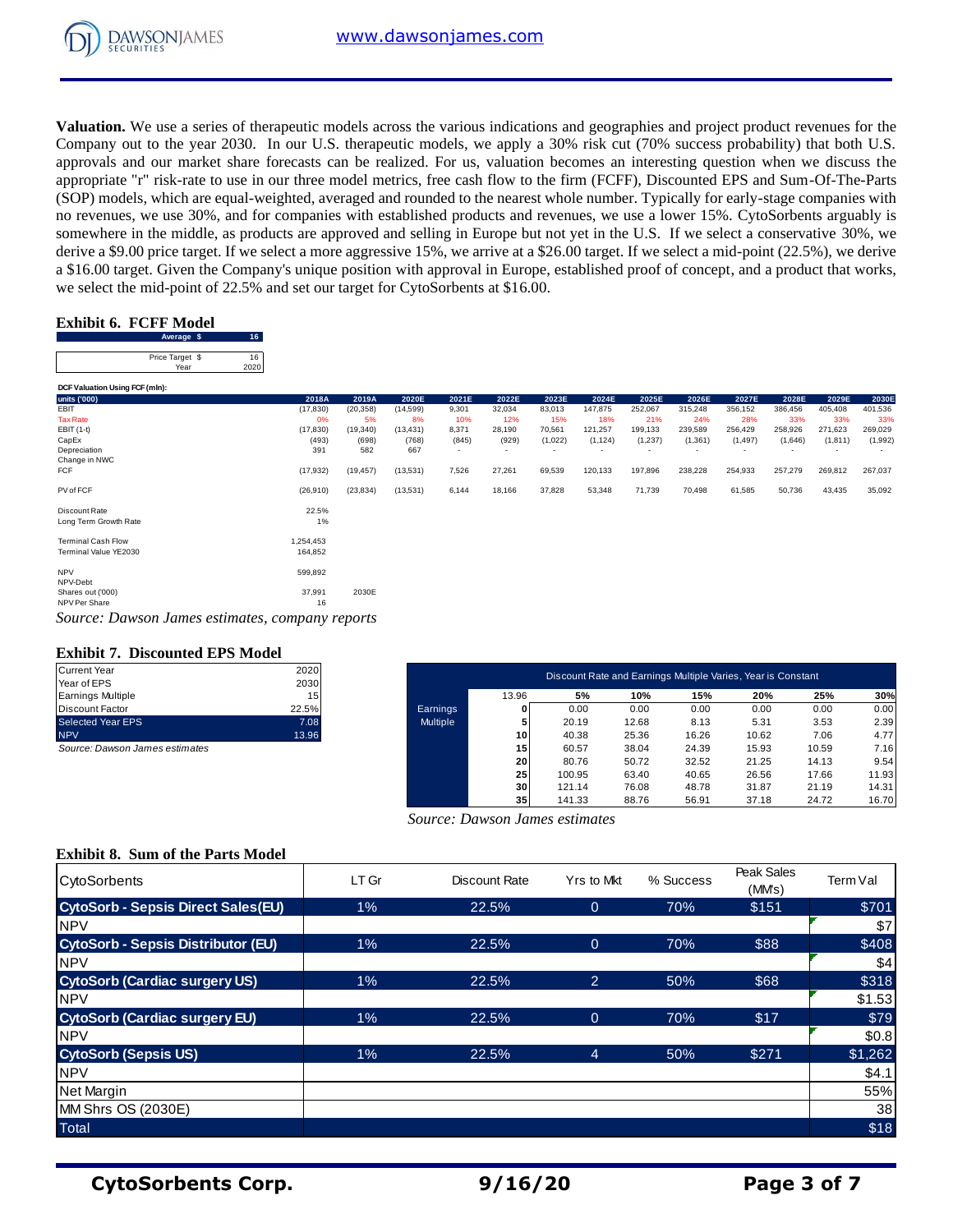

**Valuation.** We use a series of therapeutic models across the various indications and geographies and project product revenues for the Company out to the year 2030. In our U.S. therapeutic models, we apply a 30% risk cut (70% success probability) that both U.S. approvals and our market share forecasts can be realized. For us, valuation becomes an interesting question when we discuss the appropriate "r" risk-rate to use in our three model metrics, free cash flow to the firm (FCFF), Discounted EPS and Sum-Of-The-Parts (SOP) models, which are equal-weighted, averaged and rounded to the nearest whole number. Typically for early-stage companies with no revenues, we use 30%, and for companies with established products and revenues, we use a lower 15%. CytoSorbents arguably is somewhere in the middle, as products are approved and selling in Europe but not yet in the U.S. If we select a conservative 30%, we derive a \$9.00 price target. If we select a more aggressive 15%, we arrive at a \$26.00 target. If we select a mid-point (22.5%), we derive a \$16.00 target. Given the Company's unique position with approval in Europe, established proof of concept, and a product that works, we select the mid-point of 22.5% and set our target for CytoSorbents at \$16.00.<br>**Exhibit** we select the mid-point of 22.5% and set our target for CytoSorbents at \$16.00.<br> **Exhibit 6. FCFF Model**<br>
Price Target \$ 16<br>
Price Target \$ 16<br>
Price Target \$ 16<br>
2020

# **Exhibit 6. FCFF Model**

| Average \$      |      |
|-----------------|------|
| Price Target \$ |      |
| Year            | 2020 |

|                                                 | Average $\phi$  | - 10 |           |           |           |       |        |         |          |         |          |          |         |          |         |
|-------------------------------------------------|-----------------|------|-----------|-----------|-----------|-------|--------|---------|----------|---------|----------|----------|---------|----------|---------|
|                                                 | Price Target \$ | 16   |           |           |           |       |        |         |          |         |          |          |         |          |         |
|                                                 | Year            | 2020 |           |           |           |       |        |         |          |         |          |          |         |          |         |
| DCF Valuation Using FCF (mln):                  |                 |      |           |           |           |       |        |         |          |         |          |          |         |          |         |
| units ('000)                                    |                 |      | 2018A     | 2019A     | 2020E     | 2021E | 2022E  | 2023E   | 2024E    | 2025E   | 2026E    | 2027E    | 2028E   | 2029E    | 2030E   |
| EBIT                                            |                 |      | (17, 830) | (20, 358) | (14, 599) | 9,301 | 32,034 | 83,013  | 147,875  | 252,067 | 315,248  | 356,152  | 386,456 | 405,408  | 401,536 |
| <b>Tax Rate</b>                                 |                 |      | 0%        | 5%        | 8%        | 10%   | 12%    | 15%     | 18%      | 21%     | 24%      | 28%      | 33%     | 33%      | 33%     |
| EBIT (1-t)                                      |                 |      | (17, 830) | (19, 340) | (13, 431) | 8,371 | 28,190 | 70,561  | 121,257  | 199,133 | 239,589  | 256,429  | 258,926 | 271,623  | 269,029 |
| CapEx                                           |                 |      | (493)     | (698)     | (768)     | (845) | (929)  | (1,022) | (1, 124) | (1,237) | (1, 361) | (1, 497) | (1,646) | (1, 811) | (1,992) |
| Depreciation                                    |                 |      | 391       | 582       | 667       |       | ۰      |         | ٠        |         |          |          |         |          |         |
| Change in NWC                                   |                 |      |           |           |           |       |        |         |          |         |          |          |         |          |         |
| <b>FCF</b>                                      |                 |      | (17, 932) | (19, 457) | (13,531)  | 7,526 | 27,261 | 69,539  | 120,133  | 197,896 | 238,228  | 254,933  | 257,279 | 269,812  | 267,037 |
| PV of FCF                                       |                 |      | (26, 910) | (23, 834) | (13,531)  | 6,144 | 18,166 | 37,828  | 53,348   | 71,739  | 70,498   | 61,585   | 50,736  | 43,435   | 35,092  |
| Discount Rate                                   |                 |      | 22.5%     |           |           |       |        |         |          |         |          |          |         |          |         |
| Long Term Growth Rate                           |                 |      | $1\%$     |           |           |       |        |         |          |         |          |          |         |          |         |
| <b>Terminal Cash Flow</b>                       |                 |      | 1,254,453 |           |           |       |        |         |          |         |          |          |         |          |         |
| Terminal Value YE2030                           |                 |      | 164,852   |           |           |       |        |         |          |         |          |          |         |          |         |
| <b>NPV</b>                                      |                 |      | 599,892   |           |           |       |        |         |          |         |          |          |         |          |         |
| NPV-Debt                                        |                 |      |           |           |           |       |        |         |          |         |          |          |         |          |         |
| Shares out ('000)                               |                 |      | 37,991    | 2030E     |           |       |        |         |          |         |          |          |         |          |         |
| NPV Per Share                                   |                 |      | 16        |           |           |       |        |         |          |         |          |          |         |          |         |
| Source: Dawson James estimates, company reports |                 |      |           |           |           |       |        |         |          |         |          |          |         |          |         |

#### **Exhibit 7. Discounted EPS Model**

| <b>Current Year</b>             | 2020  |
|---------------------------------|-------|
| Year of EPS                     | 2030  |
| <b>Earnings Multiple</b>        | 15    |
| <b>Discount Factor</b>          | 22.5% |
| <b>Selected Year EPS</b>        | 7.08  |
| <b>NPV</b>                      | 13.96 |
| Saures: Daugan, Jamas satimator |       |

Exhibit 7. Discounted EPS Model<br>
Current Year<br>
Year of EPS<br>
Earnings Multiple Varies, Year is Constant<br>
Earnings Multiple Varies, Year is Constant<br>
Earnings Multiple Varies, Year is Constant<br>
Discount Factor<br>
22.5% **20%** <del></del> Discount Factor 22.5% Earnings **0** 0.00 0.00 0.00 0.00 0.00 0.00 Selected Year EPS 7.08 Multiple **5** 20.19 12.68 8.13 5.31 3.53 2.39 13.96 **10.62 Example 14.9 Multiple Varies**, Year is Constant<br>
Near of EPS<br>
Discount Factor 2020<br>
Earnings Multiple 15<br>
Discount Factor 22.5% 10% 15% 10% 15% 20% 25% 30%<br>
Selected Year EPS 7.06 7.08 Multiple 13.96 Multiple Current Year<br> **Source: Dawson James estimates**<br>
Source: Dawson James estimates<br>
Source: Dawson James estimates<br>
Source: Dawson James estimates<br>
1 5<br>
Source: Dawson James estimates<br>
1 5<br>
Source: Dawson James estimates<br>
1 5 **2 0** 80.76 50.72 32.52 21.25 14.13 9.54 **2 100.65 63.40**<br> **2 100.9**<br> **2 10.69**<br> **2 10.69**<br> **2 10.68**<br> **2 10.68**<br> **2 10.68**<br> **2 10.69**<br> **2 10.69**<br> **2 10.69**<br> **2 10.69**<br> **2 10.69**<br> **2 10.69**<br> **2 10.69**<br> **2 10.69**<br> **2 10.69**<br> **2 10.69**<br> **2 10.69**<br> **2 10.69**<br> **2 10. 1** 0.00 0.00 0.00 0.00 0.00 0.00 0.00<br> **3** 20.19 12.68 8.13 5.31 3.53 2.39<br> **10** 40.38 25.36 16.28 10.62 7.06 4.77<br> **15** 60.57 38.04 24.39 15.93 10.59 7.16<br> **20** 80.76 50.72 32.52 21.25 14.13 9.54<br> **10.95 63.40** 40.65 26. **3** 10<br> **3** 140.38 25.36 16.26 10.62 7.06 4.77<br> **3 53** 23.9<br> **40.57** 38.04 24.39 15.93 10.59 7.16<br> **20** 80.76 50.72 32.52 21.25 14.13 9.54<br> **25** 100.95 63.40 40.65 26.56 17.66 11.93<br> **30** 121.14 76.08 48.78 31.87 21.19 14. Discount Rate and Earnings Multiple Varies, Year is Constant

 *Source: Dawson James estimates*

#### **Exhibit 8. Sum of the Parts Model**

| <b>CytoSorbents</b>                       | LT Gr | Discount Rate | Yrs to Mkt     | % Success | Peak Sales<br>(MM's) | Term Val |
|-------------------------------------------|-------|---------------|----------------|-----------|----------------------|----------|
| <b>CytoSorb - Sepsis Direct Sales(EU)</b> | 1%    | 22.5%         | $\overline{0}$ | 70%       | \$151                | \$701    |
| <b>INPV</b>                               |       |               |                |           |                      | \$7      |
| <b>CytoSorb - Sepsis Distributor (EU)</b> | $1\%$ | 22.5%         | $\overline{0}$ | 70%       | \$88                 | \$408    |
| <b>NPV</b>                                |       |               |                |           |                      | \$4      |
| <b>CytoSorb (Cardiac surgery US)</b>      | 1%    | 22.5%         | 2              | 50%       | \$68                 | \$318    |
| <b>NPV</b>                                |       |               |                |           |                      | \$1.53   |
| <b>CytoSorb (Cardiac surgery EU)</b>      | $1\%$ | 22.5%         | $\Omega$       | 70%       | \$17                 | \$79     |
| <b>NPV</b>                                |       |               |                |           |                      | \$0.8    |
| <b>CytoSorb (Sepsis US)</b>               | 1%    | 22.5%         | $\overline{4}$ | 50%       | \$271                | \$1,262  |
| <b>NPV</b>                                |       |               |                |           |                      | \$4.1    |
| Net Margin                                |       |               |                |           |                      | 55%      |
| MM Shrs OS (2030E)                        |       |               |                |           |                      | 38       |
| <b>Total</b>                              |       |               |                |           |                      | \$18     |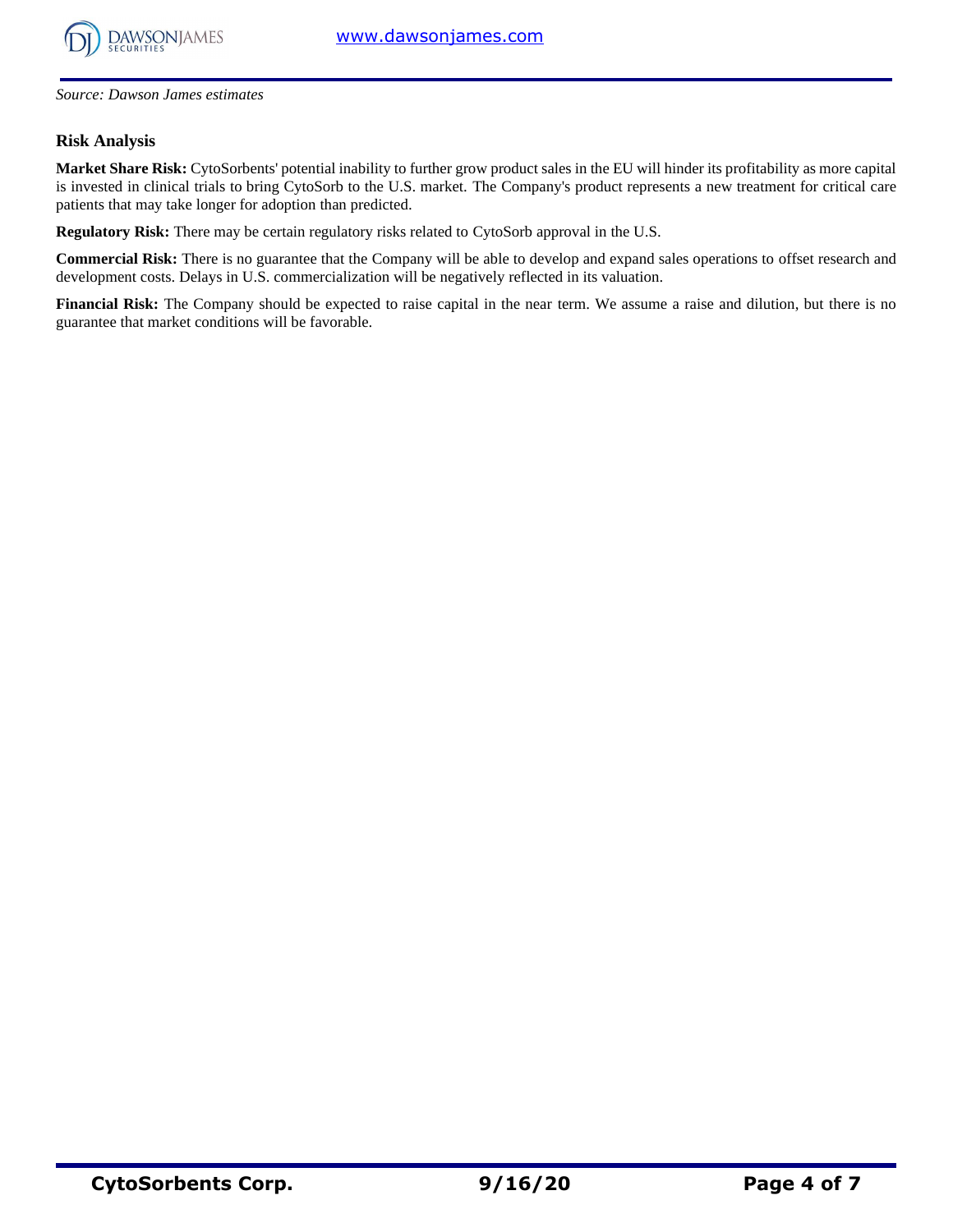

*Source: Dawson James estimates*

# **Risk Analysis**

**Market Share Risk:** CytoSorbents' potential inability to further grow product sales in the EU will hinder its profitability as more capital is invested in clinical trials to bring CytoSorb to the U.S. market. The Company's product represents a new treatment for critical care patients that may take longer for adoption than predicted.

**Regulatory Risk:** There may be certain regulatory risks related to CytoSorb approval in the U.S.

**Commercial Risk:** There is no guarantee that the Company will be able to develop and expand sales operations to offset research and development costs. Delays in U.S. commercialization will be negatively reflected in its valuation.

**Financial Risk:** The Company should be expected to raise capital in the near term. We assume a raise and dilution, but there is no guarantee that market conditions will be favorable.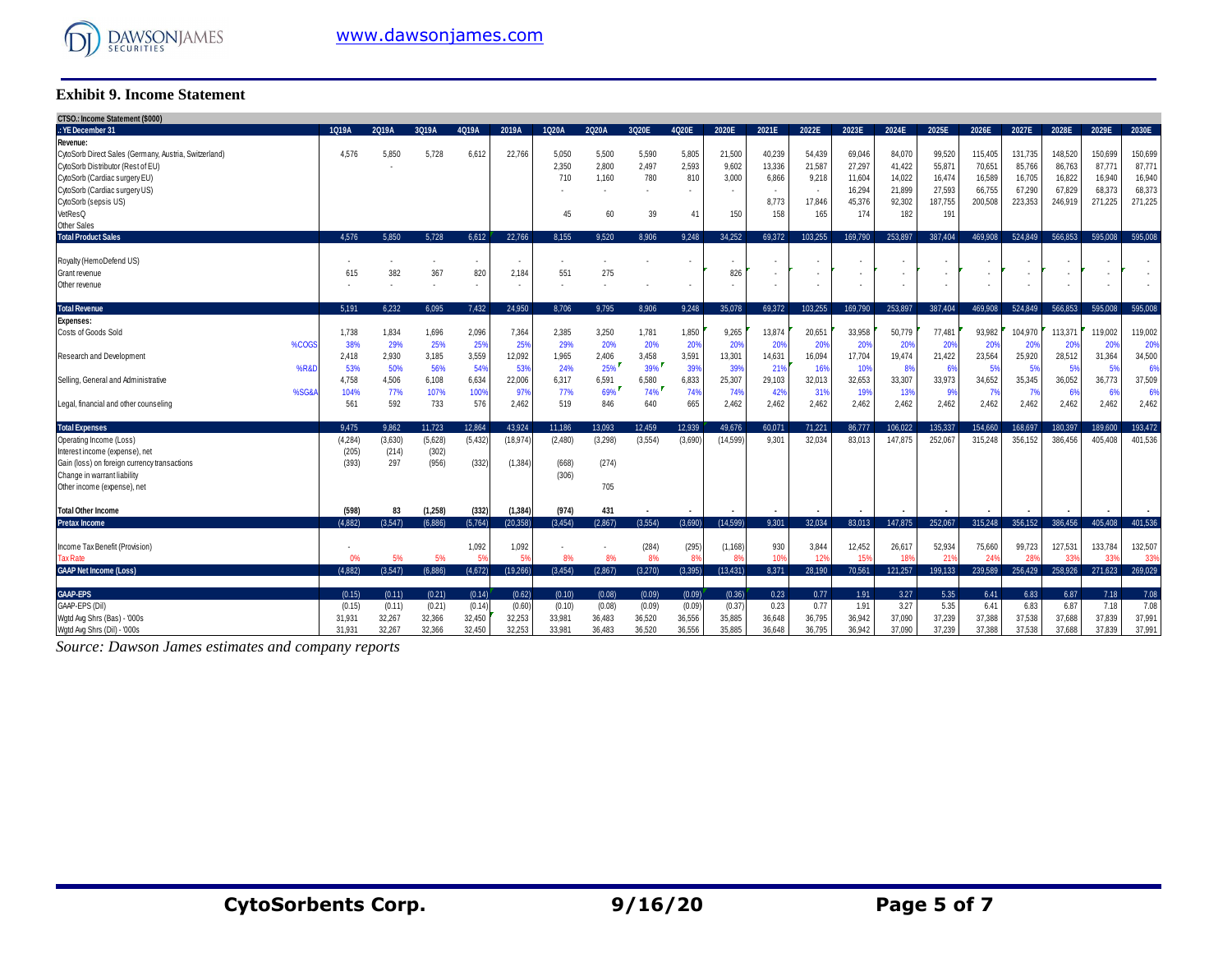

## **Exhibit 9. Income Statement**

| CTSO.: Income Statement (\$000)<br>.: YE December 31  | 1Q19A         | 2Q19A        | 3Q19A                    | 4Q19A    | 2019A                    | 1Q20A        | 2Q20A   | 3Q20E   | 4Q20E                    | 2020E                 | 2021E                    | 2022E           | 2023E   | 2024E   | 2025E                    | 2026E           | 2027E   | 2028E           | 2029E       | 2030E                    |
|-------------------------------------------------------|---------------|--------------|--------------------------|----------|--------------------------|--------------|---------|---------|--------------------------|-----------------------|--------------------------|-----------------|---------|---------|--------------------------|-----------------|---------|-----------------|-------------|--------------------------|
|                                                       |               |              |                          |          |                          |              |         |         |                          |                       |                          |                 |         |         |                          |                 |         |                 |             |                          |
| Revenue:                                              |               |              |                          |          | 22.766                   |              |         |         |                          |                       |                          |                 |         | 84.070  |                          |                 |         |                 | 150.699     |                          |
| CytoSorb Direct Sales (Germany, Austria, Switzerland) | 4,576         | 5,850        | 5,728                    | 6,612    |                          | 5,050        | 5.500   | 5,590   | 5,805                    | 21,500                | 40,239                   | 54,439          | 69,046  |         | 99,520                   | 115,405         | 131,735 | 148,520         |             | 150,699                  |
| CytoSorb Distributor (Rest of EU)                     |               |              |                          |          |                          | 2,350        | 2,800   | 2,497   | 2,593                    | 9,602                 | 13,336                   | 21,587          | 27,297  | 41,422  | 55,87                    | 70,651          | 85,766  | 86,763          | 87,771      | 87,771                   |
| CytoSorb (Cardiac surgery EU)                         |               |              |                          |          |                          | 710          | 1.160   | 780     | 810                      | 3,000                 | 6,866                    | 9,218           | 11,604  | 14.022  | 16,474                   | 16,589          | 16.705  | 16,822          | 16,940      | 16,940                   |
| CytoSorb (Cardiac surgery US)                         |               |              |                          |          |                          |              |         |         |                          |                       | $\overline{\phantom{a}}$ | $\sim$          | 16,294  | 21.899  | 27,593                   | 66,755          | 67,290  | 67,829          | 68,373      | 68,373                   |
| CytoSorb (sepsis US)                                  |               |              |                          |          |                          |              |         |         |                          |                       | 8,773                    | 17,846          | 45,376  | 92,302  | 187,755                  | 200,508         | 223,353 | 246,919         | 271,225     | 271,225                  |
| VetResQ                                               |               |              |                          |          |                          | 45           | 60      | 39      | 41                       | 150                   | 158                      | 165             | 174     | 182     | 191                      |                 |         |                 |             |                          |
| <b>Other Sales</b>                                    |               |              |                          |          |                          |              |         |         |                          |                       |                          |                 |         |         |                          |                 |         |                 |             |                          |
| <b>Total Product Sales</b>                            | 4.576         | 5.850        | 5.728                    | 6.612    | 22.766                   | 8.155        | 9.520   | 8.906   | 9.248                    | 34.252                | 69.372                   | 103.255         | 169.790 | 253,897 | 387.404                  | 469.908         | 524.849 | 566.853         | 595,008     | 595.008                  |
|                                                       |               |              |                          |          |                          |              |         |         |                          |                       |                          |                 |         |         |                          |                 |         |                 |             |                          |
| Royalty (HemoDefend US)                               |               |              |                          | ٠        |                          |              |         |         |                          |                       | . .                      |                 |         |         |                          |                 |         |                 |             |                          |
| Grant revenue                                         | 615           | 382          | 367                      | 820      | 2,184                    | 551          | 275     |         |                          | 826                   | $\overline{\phantom{a}}$ | ٠               |         |         |                          | ٠               |         |                 |             |                          |
| Other revenue                                         |               |              | $\overline{\phantom{a}}$ | ٠        | $\overline{\phantom{a}}$ | ٠            |         |         | $\overline{\phantom{a}}$ | ٠                     | $\overline{\phantom{a}}$ | $\sim$          |         |         | $\overline{\phantom{a}}$ | ٠               |         | $\sim$          |             | $\overline{\phantom{a}}$ |
| <b>Total Revenue</b>                                  | 5.191         | 6.232        | 6.095                    | 7.432    | 24.950                   | 8.706        | 9.795   | 8.906   | 9.248                    | 35.078                | 69.372                   | 103.255         | 169.790 | 253.897 | 387.404                  | 469,908         | 524.849 | 566.853         | 595.008     | 595.008                  |
| <b>Expenses:</b>                                      |               |              |                          |          |                          |              |         |         |                          |                       |                          |                 |         |         |                          |                 |         |                 |             |                          |
| Costs of Goods Sold                                   | 1,738         | 1,834        | 1,696                    | 2,096    | 7,364                    | 2,385        | 3,250   | 1,781   | 1,850                    | 9,265                 | 13,874                   | 20,651          | 33,958  | 50.779  | 77,481                   | 93,982          | 104,970 | 113,371         | 119.002     | 119,002                  |
| %COGS                                                 | 38%           | 29%          | 25%                      | 25%      | 25%                      | 29%          | 20%     | 20%     | 20%                      | 20%                   | 20%                      | 20%             | 20%     | 20%     | 20%                      | 20%             | 20%     | 20%             | 20%         | 20%                      |
| Research and Development                              | 2,418         | 2,930        | 3,185                    | 3,559    | 12,092                   | 1,965        | 2,406   | 3,458   | 3,591                    | 13,301                | 14,631                   | 16,094          | 17,704  | 19,474  | 21,422                   | 23,564          | 25,920  | 28,512          | 31,364      | 34,500                   |
| %R&I                                                  |               |              | 56%                      | 54%      | 53%                      | 24%          | 25%     | 39%     | 39%                      | 39%                   |                          | 16%             | 10%     | 8%      |                          | 5%              | 5%      |                 | 5%          | 6%                       |
|                                                       | 53%           | 50%          |                          | 6,634    | 22,006                   |              | 6,591   | 6,580   | 6,833                    | 25,307                | 21%<br>29,103            | 32,013          | 32,653  | 33,307  | 6%<br>33,973             | 34,652          | 35,345  | 5%<br>36,052    |             | 37,509                   |
| Selling, General and Administrative<br>%SG&           | 4,758<br>104% | 4,506<br>77% | 6,108<br>107%            | 100%     | 97%                      | 6,317<br>77% | 69%     | 74%     | 74%                      | 74%                   | 42%                      | 31%             | 19%     | 13%     | 9%                       | 7%              |         |                 | 36,773<br>6 | 6%                       |
|                                                       |               |              |                          |          |                          |              |         |         |                          |                       |                          |                 |         |         |                          |                 | - 7%    | 6%              |             |                          |
| Legal, financial and other counseling                 | 561           | 592          | 733                      | 576      | 2,462                    | 519          | 846     | 640     | 665                      | 2,462                 | 2,462                    | 2,462           | 2,462   | 2,462   | 2,462                    | 2,462           | 2,462   | 2,462           | 2,462       | 2,462                    |
| <b>Total Expenses</b>                                 | 9.475         | 9.862        | 11.723                   | 12.864   | 43.924                   | 11.186       | 13.093  | 12.459  | 12.939                   | 49.676                | 60.071                   | 71.221          | 86.777  | 106.022 | 135.337                  | 154,660         | 168.697 | 180.397         | 189.600     | 193.472                  |
| Operating Income (Loss)                               | (4, 284)      | (3,630)      | (5,628)                  | (5, 432) | 18,974                   | (2,480)      | (3,298) | (3,554) | (3,690)                  | (14, 599)             | 9.301                    | 32,034          | 83.013  | 147.875 | 252.067                  | 315,248         | 356,152 | 386.456         | 405.408     | 401,536                  |
| Interest income (expense), net                        | (205)         | (214)        | (302)                    |          |                          |              |         |         |                          |                       |                          |                 |         |         |                          |                 |         |                 |             |                          |
| Gain (loss) on foreign currency transactions          | (393)         | 297          | (956)                    | (332)    | (1, 384)                 | (668)        | (274)   |         |                          |                       |                          |                 |         |         |                          |                 |         |                 |             |                          |
| Change in warrant liability                           |               |              |                          |          |                          | (306)        |         |         |                          |                       |                          |                 |         |         |                          |                 |         |                 |             |                          |
| Other income (expense), net                           |               |              |                          |          |                          |              | 705     |         |                          |                       |                          |                 |         |         |                          |                 |         |                 |             |                          |
|                                                       |               |              |                          |          |                          |              |         |         |                          |                       |                          |                 |         |         |                          |                 |         |                 |             |                          |
| <b>Total Other Income</b>                             | (598)         | 83           | (1,258)                  | (332)    | (1, 384)                 | (974)        | 431     |         |                          |                       |                          |                 |         |         |                          |                 |         |                 |             |                          |
| <b>Pretax Income</b>                                  | (4.882)       | (3.547)      | (6.886)                  | (5,764)  | (20.358)                 | (3.454)      | (2.867) | (3.554) | (3.690)                  | (14.599)              | 9.301                    | 32.034          | 83.013  | 147.875 | 252.067                  | 315.248         | 356.152 | 386,456         | 405.408     | 401.536                  |
|                                                       |               |              |                          |          |                          |              |         |         |                          |                       |                          |                 |         |         |                          |                 |         |                 |             |                          |
| Income Tax Benefit (Provision)                        |               |              |                          | 1,092    | 1,092                    |              |         | (284)   | (295)                    | (1, 168)              | 930                      | 3,844           | 12,452  | 26.617  | 52,934                   | 75,660          | 99,723  | 127,531         | 133.784     | 132,507                  |
| <b>Tax Rate</b>                                       |               | 5%           | 5%                       |          | 59                       | 8%           | 8%      | 8%      | $R^{\prime}$             | <b>R</b> <sup>Q</sup> | 10 <sup>1</sup>          | 12 <sup>9</sup> | 159     | 189     | 21                       | 24 <sup>°</sup> | 28'     | 33 <sup>0</sup> | 33'         | 339                      |
| <b>GAAP Net Income (Loss)</b>                         | (4.882)       | (3.547)      | (6.886)                  | (4,672)  | (19, 266)                | (3.454)      | (2.867) | (3.270) | (3.395)                  | (13, 431)             | 8.371                    | 28,190          | 70,561  | 121.257 | 199.133                  | 239.589         | 256,429 | 258,926         | 271.623     | 269,029                  |
| <b>GAAP-EPS</b>                                       | (0.15)        | (0.11)       | (0.21)                   | (0.14)   | (0.62)                   | (0.10)       | (0.08)  | (0.09)  | (0.09)                   | (0.36)                | 0.23                     | 0.77            | 1.91    | 3.27    | 5.35                     | 6.41            | 6.83    | 6.87            | 7.18        | 7.08                     |
| GAAP-EPS (Dil)                                        |               | (0.11)       | (0.21)                   | (0.14)   | (0.60)                   |              | (0.08)  | (0.09)  | (0.09)                   | (0.37)                | 0.23                     | 0.77            | 1.91    | 3.27    | 5.35                     | 6.41            | 6.83    | 6.87            | 7.18        | 7.08                     |
|                                                       | (0.15)        |              |                          |          |                          | (0.10)       |         |         |                          |                       |                          |                 |         |         |                          |                 |         |                 |             |                          |
| Wgtd Avg Shrs (Bas) - '000s                           | 31,931        | 32,267       | 32,366                   | 32,450   | 32,253                   | 33,981       | 36,483  | 36,520  | 36,556                   | 35,885                | 36,648                   | 36,795          | 36,942  | 37,090  | 37,239                   | 37,388          | 37,538  | 37,688          | 37.839      | 37,991                   |
| Watd Ava Shrs (Dil) - '000s                           | 31.931        | 32.267       | 32.366                   | 32.450   | 32.253                   | 33.981       | 36.483  | 36.520  | 36,556                   | 35.885                | 36.648                   | 36.795          | 36.942  | 37.090  | 37.239                   | 37,388          | 37.538  | 37,688          | 37.839      | 37,991                   |

*Source: Dawson James estimates and company reports*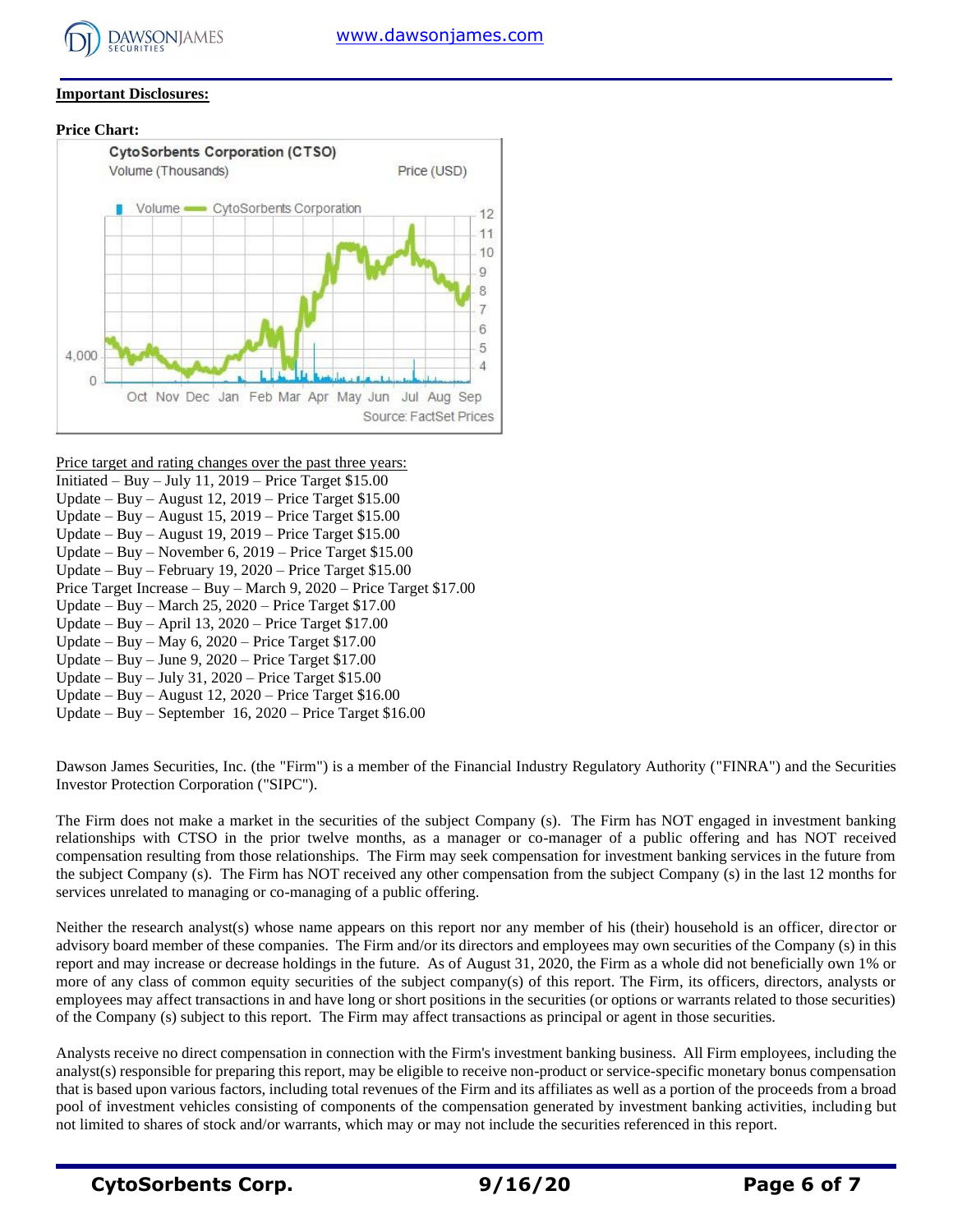

## **Important Disclosures:**

#### **Price Chart:**



- Price target and rating changes over the past three years:
- Initiated Buy July 11, 2019 Price Target \$15.00
- Update Buy August 12, 2019 Price Target \$15.00
- Update Buy August 15, 2019 Price Target \$15.00 Update – Buy – August 19, 2019 – Price Target \$15.00
- Update Buy November 6, 2019 Price Target \$15.00
- Update Buy February 19, 2020 Price Target \$15.00
- Price Target Increase Buy March 9, 2020 Price Target \$17.00
- Update Buy March 25, 2020 Price Target \$17.00
- Update Buy April 13, 2020 Price Target \$17.00
- Update Buy May 6, 2020 Price Target \$17.00
- Update Buy June 9, 2020 Price Target \$17.00
- Update Buy July 31, 2020 Price Target \$15.00
- Update Buy August 12, 2020 Price Target \$16.00
- Update Buy September 16, 2020 Price Target \$16.00

Dawson James Securities, Inc. (the "Firm") is a member of the Financial Industry Regulatory Authority ("FINRA") and the Securities Investor Protection Corporation ("SIPC").

The Firm does not make a market in the securities of the subject Company (s). The Firm has NOT engaged in investment banking relationships with CTSO in the prior twelve months, as a manager or co-manager of a public offering and has NOT received compensation resulting from those relationships. The Firm may seek compensation for investment banking services in the future from the subject Company (s). The Firm has NOT received any other compensation from the subject Company (s) in the last 12 months for services unrelated to managing or co-managing of a public offering.

Neither the research analyst(s) whose name appears on this report nor any member of his (their) household is an officer, director or advisory board member of these companies. The Firm and/or its directors and employees may own securities of the Company (s) in this report and may increase or decrease holdings in the future. As of August 31, 2020, the Firm as a whole did not beneficially own 1% or more of any class of common equity securities of the subject company(s) of this report. The Firm, its officers, directors, analysts or employees may affect transactions in and have long or short positions in the securities (or options or warrants related to those securities) of the Company (s) subject to this report. The Firm may affect transactions as principal or agent in those securities.

Analysts receive no direct compensation in connection with the Firm's investment banking business. All Firm employees, including the analyst(s) responsible for preparing this report, may be eligible to receive non-product or service-specific monetary bonus compensation that is based upon various factors, including total revenues of the Firm and its affiliates as well as a portion of the proceeds from a broad pool of investment vehicles consisting of components of the compensation generated by investment banking activities, including but not limited to shares of stock and/or warrants, which may or may not include the securities referenced in this report.